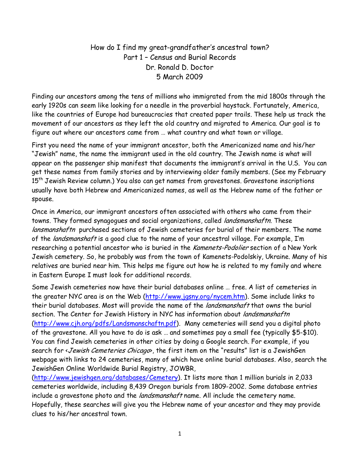How do I find my great-grandfather's ancestral town? Part 1 – Census and Burial Records Dr. Ronald D. Doctor 5 March 2009

Finding our ancestors among the tens of millions who immigrated from the mid 1800s through the early 1920s can seem like looking for a needle in the proverbial haystack. Fortunately, America, like the countries of Europe had bureaucracies that created paper trails. These help us track the movement of our ancestors as they left the old country and migrated to America. Our goal is to figure out where our ancestors came from … what country and what town or village.

First you need the name of your immigrant ancestor, both the Americanized name and his/her "Jewish" name, the name the immigrant used in the old country. The Jewish name is what will appear on the passenger ship manifest that documents the immigrant's arrival in the U.S. You can get these names from family stories and by interviewing older family members. (See my February 15<sup>th</sup> Jewish Review column.) You also can get names from gravestones. Gravestone inscriptions usually have both Hebrew and Americanized names, as well as the Hebrew name of the father or spouse.

Once in America, our immigrant ancestors often associated with others who came from their towns. They formed synagogues and social organizations, called landsmanshaftn. These lansmanshaftn purchased sections of Jewish cemeteries for burial of their members. The name of the *landsmanshaft* is a good clue to the name of your ancestral village. For example, I'm researching a potential ancestor who is buried in the Kamenets-Podolier section of a New York Jewish cemetery. So, he probably was from the town of Kamenets-Podolskiy, Ukraine. Many of his relatives are buried near him. This helps me figure out how he is related to my family and where in Eastern Europe I must look for additional records.

Some Jewish cemeteries now have their burial databases online … free. A list of cemeteries in the greater NYC area is on the Web (http://www.jgsny.org/nycem.htm). Some include links to their burial databases. Most will provide the name of the *landsmanshaft* that owns the burial section. The Center for Jewish History in NYC has information about landsmanshaftn (http://www.cjh.org/pdfs/Landsmanschaftn.pdf). Many cemeteries will send you a digital photo of the gravestone. All you have to do is ask … and sometimes pay a small fee (typically \$5-\$10). You can find Jewish cemeteries in other cities by doing a Google search. For example, if you search for < Jewish Cemeteries Chicago>, the first item on the "results" list is a JewishGen webpage with links to 24 cemeteries, many of which have online burial databases. Also, search the JewishGen Online Worldwide Burial Registry, JOWBR,

(http://www.jewishgen.org/databases/Cemetery). It lists more than 1 million burials in 2,033 cemeteries worldwide, including 8,439 Oregon burials from 1809-2002. Some database entries include a gravestone photo and the *landsmanshaft* name. All include the cemetery name. Hopefully, these searches will give you the Hebrew name of your ancestor and they may provide clues to his/her ancestral town.